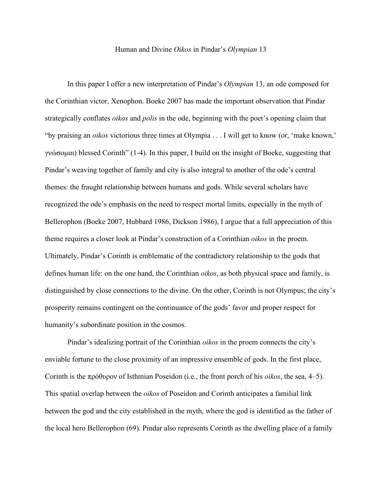## Human and Divine *Oikos* in Pindar's *Olympian* 13

In this paper I offer a new interpretation of Pindar's *Olympian* 13, an ode composed for the Corinthian victor, Xenophon. Boeke 2007 has made the important observation that Pindar strategically conflates *oikos* and *polis* in the ode, beginning with the poet's opening claim that "by praising an *oikos* victorious three times at Olympia . . . I will get to know (or, 'make known,' γνώσομαι) blessed Corinth" (1-4). In this paper, I build on the insight of Boeke, suggesting that Pindar's weaving together of family and city is also integral to another of the ode's central themes: the fraught relationship between humans and gods. While several scholars have recognized the ode's emphasis on the need to respect mortal limits, especially in the myth of Bellerophon (Boeke 2007, Hubbard 1986, Dickson 1986), I argue that a full appreciation of this theme requires a closer look at Pindar's construction of a Corinthian *oikos* in the proem. Ultimately, Pindar's Corinth is emblematic of the contradictory relationship to the gods that defines human life: on the one hand, the Corinthian *oikos*, as both physical space and family, is distinguished by close connections to the divine. On the other, Corinth is not Olympus; the city's prosperity remains contingent on the continuance of the gods' favor and proper respect for humanity's subordinate position in the cosmos.

Pindar's idealizing portrait of the Corinthian *oikos* in the proem connects the city's enviable fortune to the close proximity of an impressive ensemble of gods. In the first place, Corinth is the πρόθυρον of Isthmian Poseidon (i.e., the front porch of his *oikos*, the sea, 4–5). This spatial overlap between the *oikos* of Poseidon and Corinth anticipates a familial link between the god and the city established in the myth, where the god is identified as the father of the local hero Bellerophon (69). Pindar also represents Corinth as the dwelling place of a family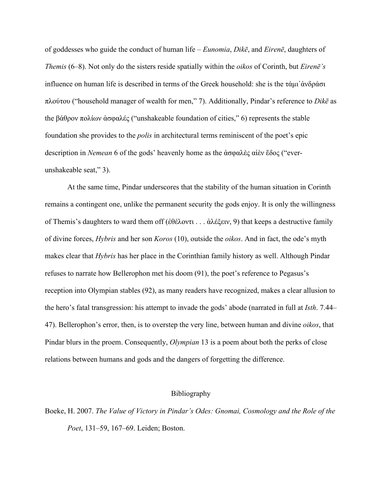of goddesses who guide the conduct of human life – *Eunomia*, *Dikē*, and *Eirenē*, daughters of *Themis* (6–8). Not only do the sisters reside spatially within the *oikos* of Corinth, but *Eirenē's* influence on human life is described in terms of the Greek household: she is the τάμι᾽ἀνδράσι πλούτου ("household manager of wealth for men," 7). Additionally, Pindar's reference to *Dikē* as the βάθρον πολίων ἀσφαλές ("unshakeable foundation of cities," 6) represents the stable foundation she provides to the *polis* in architectural terms reminiscent of the poet's epic description in *Nemean* 6 of the gods' heavenly home as the ἀσφαλὲς αἰὲν ἕδος ("everunshakeable seat," 3).

At the same time, Pindar underscores that the stability of the human situation in Corinth remains a contingent one, unlike the permanent security the gods enjoy. It is only the willingness of Themis's daughters to ward them off (ἐθέλοντι . . . ἀλέξειν, 9) that keeps a destructive family of divine forces, *Hybris* and her son *Koros* (10), outside the *oikos*. And in fact, the ode's myth makes clear that *Hybris* has her place in the Corinthian family history as well. Although Pindar refuses to narrate how Bellerophon met his doom (91), the poet's reference to Pegasus's reception into Olympian stables (92), as many readers have recognized, makes a clear allusion to the hero's fatal transgression: his attempt to invade the gods' abode (narrated in full at *Isth*. 7.44– 47). Bellerophon's error, then, is to overstep the very line, between human and divine *oikos*, that Pindar blurs in the proem. Consequently, *Olympian* 13 is a poem about both the perks of close relations between humans and gods and the dangers of forgetting the difference.

## Bibliography

Boeke, H. 2007. *The Value of Victory in Pindar's Odes: Gnomai, Cosmology and the Role of the Poet*, 131–59, 167–69. Leiden; Boston.